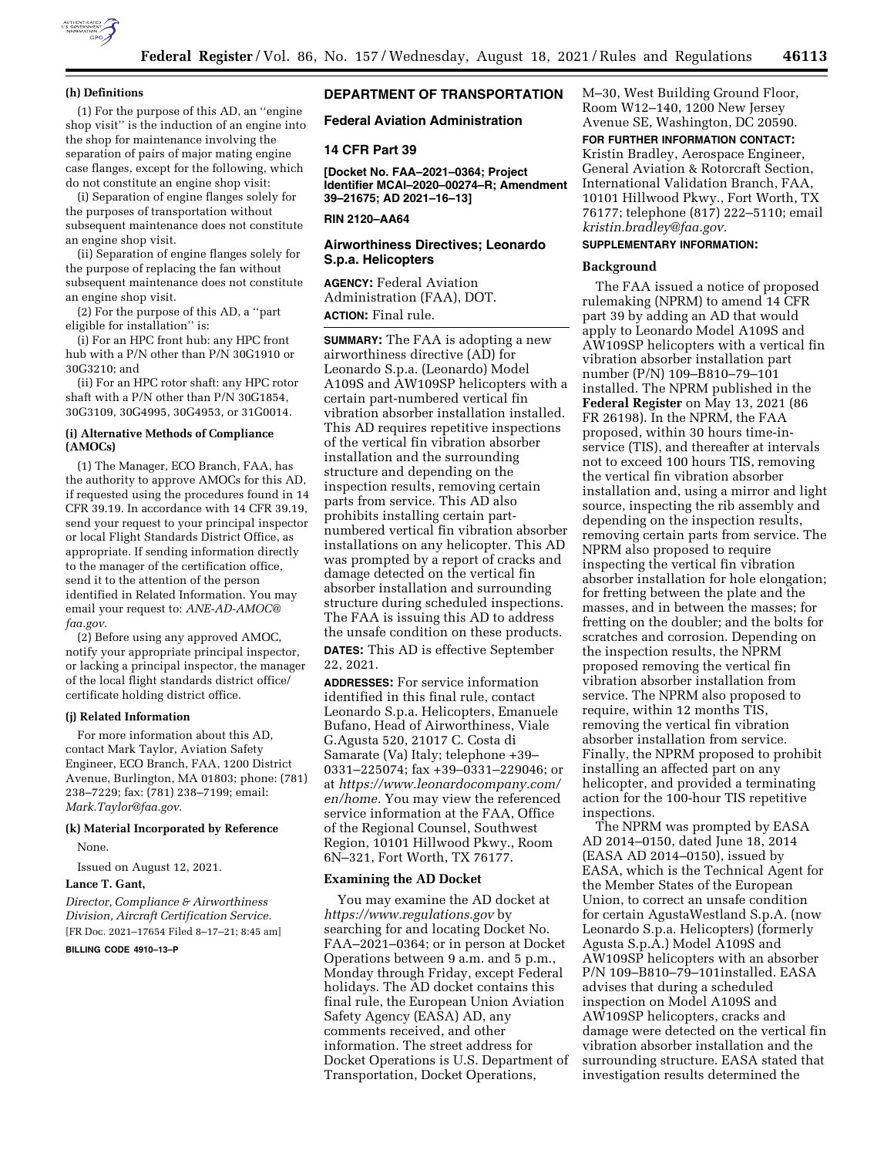

#### **(h) Definitions**

(1) For the purpose of this AD, an ''engine shop visit'' is the induction of an engine into the shop for maintenance involving the separation of pairs of major mating engine case flanges, except for the following, which do not constitute an engine shop visit:

(i) Separation of engine flanges solely for the purposes of transportation without subsequent maintenance does not constitute an engine shop visit.

(ii) Separation of engine flanges solely for the purpose of replacing the fan without subsequent maintenance does not constitute an engine shop visit.

(2) For the purpose of this AD, a ''part eligible for installation'' is:

(i) For an HPC front hub: any HPC front hub with a P/N other than P/N 30G1910 or 30G3210; and

(ii) For an HPC rotor shaft: any HPC rotor shaft with a P/N other than P/N 30G1854, 30G3109, 30G4995, 30G4953, or 31G0014.

# **(i) Alternative Methods of Compliance (AMOCs)**

(1) The Manager, ECO Branch, FAA, has the authority to approve AMOCs for this AD, if requested using the procedures found in 14 CFR 39.19. In accordance with 14 CFR 39.19, send your request to your principal inspector or local Flight Standards District Office, as appropriate. If sending information directly to the manager of the certification office, send it to the attention of the person identified in Related Information. You may email your request to: *[ANE-AD-AMOC@](mailto:ANE-AD-AMOC@faa.gov) [faa.gov.](mailto:ANE-AD-AMOC@faa.gov)* 

(2) Before using any approved AMOC, notify your appropriate principal inspector, or lacking a principal inspector, the manager of the local flight standards district office/ certificate holding district office.

### **(j) Related Information**

For more information about this AD, contact Mark Taylor, Aviation Safety Engineer, ECO Branch, FAA, 1200 District Avenue, Burlington, MA 01803; phone: (781) 238–7229; fax: (781) 238–7199; email: *[Mark.Taylor@faa.gov](mailto:Mark.Taylor@faa.gov)*.

### **(k) Material Incorporated by Reference**

None.

Issued on August 12, 2021.

#### **Lance T. Gant,**

*Director, Compliance & Airworthiness Division, Aircraft Certification Service.* 

[FR Doc. 2021–17654 Filed 8–17–21; 8:45 am]

# **BILLING CODE 4910–13–P**

## **DEPARTMENT OF TRANSPORTATION**

**Federal Aviation Administration** 

### **14 CFR Part 39**

**[Docket No. FAA–2021–0364; Project Identifier MCAI–2020–00274–R; Amendment 39–21675; AD 2021–16–13]** 

# **RIN 2120–AA64**

## **Airworthiness Directives; Leonardo S.p.a. Helicopters**

**AGENCY:** Federal Aviation Administration (FAA), DOT. **ACTION:** Final rule.

**SUMMARY:** The FAA is adopting a new airworthiness directive (AD) for Leonardo S.p.a. (Leonardo) Model A109S and AW109SP helicopters with a certain part-numbered vertical fin vibration absorber installation installed. This AD requires repetitive inspections of the vertical fin vibration absorber installation and the surrounding structure and depending on the inspection results, removing certain parts from service. This AD also prohibits installing certain partnumbered vertical fin vibration absorber installations on any helicopter. This AD was prompted by a report of cracks and damage detected on the vertical fin absorber installation and surrounding structure during scheduled inspections. The FAA is issuing this AD to address the unsafe condition on these products. **DATES:** This AD is effective September 22, 2021.

**ADDRESSES:** For service information identified in this final rule, contact Leonardo S.p.a. Helicopters, Emanuele Bufano, Head of Airworthiness, Viale G.Agusta 520, 21017 C. Costa di Samarate (Va) Italy; telephone +39– 0331–225074; fax +39–0331–229046; or at *[https://www.leonardocompany.com/](https://www.leonardocompany.com/en/home) [en/home.](https://www.leonardocompany.com/en/home)* You may view the referenced service information at the FAA, Office of the Regional Counsel, Southwest Region, 10101 Hillwood Pkwy., Room 6N–321, Fort Worth, TX 76177.

### **Examining the AD Docket**

You may examine the AD docket at *<https://www.regulations.gov>* by searching for and locating Docket No. FAA–2021–0364; or in person at Docket Operations between 9 a.m. and 5 p.m., Monday through Friday, except Federal holidays. The AD docket contains this final rule, the European Union Aviation Safety Agency (EASA) AD, any comments received, and other information. The street address for Docket Operations is U.S. Department of Transportation, Docket Operations,

M–30, West Building Ground Floor, Room W12–140, 1200 New Jersey Avenue SE, Washington, DC 20590.

# **FOR FURTHER INFORMATION CONTACT:**

Kristin Bradley, Aerospace Engineer, General Aviation & Rotorcraft Section, International Validation Branch, FAA, 10101 Hillwood Pkwy., Fort Worth, TX 76177; telephone (817) 222–5110; email *[kristin.bradley@faa.gov.](mailto:kristin.bradley@faa.gov)* 

# **SUPPLEMENTARY INFORMATION:**

### **Background**

The FAA issued a notice of proposed rulemaking (NPRM) to amend 14 CFR part 39 by adding an AD that would apply to Leonardo Model A109S and AW109SP helicopters with a vertical fin vibration absorber installation part number (P/N) 109–B810–79–101 installed. The NPRM published in the **Federal Register** on May 13, 2021 (86 FR 26198). In the NPRM, the FAA proposed, within 30 hours time-inservice (TIS), and thereafter at intervals not to exceed 100 hours TIS, removing the vertical fin vibration absorber installation and, using a mirror and light source, inspecting the rib assembly and depending on the inspection results, removing certain parts from service. The NPRM also proposed to require inspecting the vertical fin vibration absorber installation for hole elongation; for fretting between the plate and the masses, and in between the masses; for fretting on the doubler; and the bolts for scratches and corrosion. Depending on the inspection results, the NPRM proposed removing the vertical fin vibration absorber installation from service. The NPRM also proposed to require, within 12 months TIS, removing the vertical fin vibration absorber installation from service. Finally, the NPRM proposed to prohibit installing an affected part on any helicopter, and provided a terminating action for the 100-hour TIS repetitive inspections.

The NPRM was prompted by EASA AD 2014–0150, dated June 18, 2014 (EASA AD 2014–0150), issued by EASA, which is the Technical Agent for the Member States of the European Union, to correct an unsafe condition for certain AgustaWestland S.p.A. (now Leonardo S.p.a. Helicopters) (formerly Agusta S.p.A.) Model A109S and AW109SP helicopters with an absorber P/N 109–B810–79–101installed. EASA advises that during a scheduled inspection on Model A109S and AW109SP helicopters, cracks and damage were detected on the vertical fin vibration absorber installation and the surrounding structure. EASA stated that investigation results determined the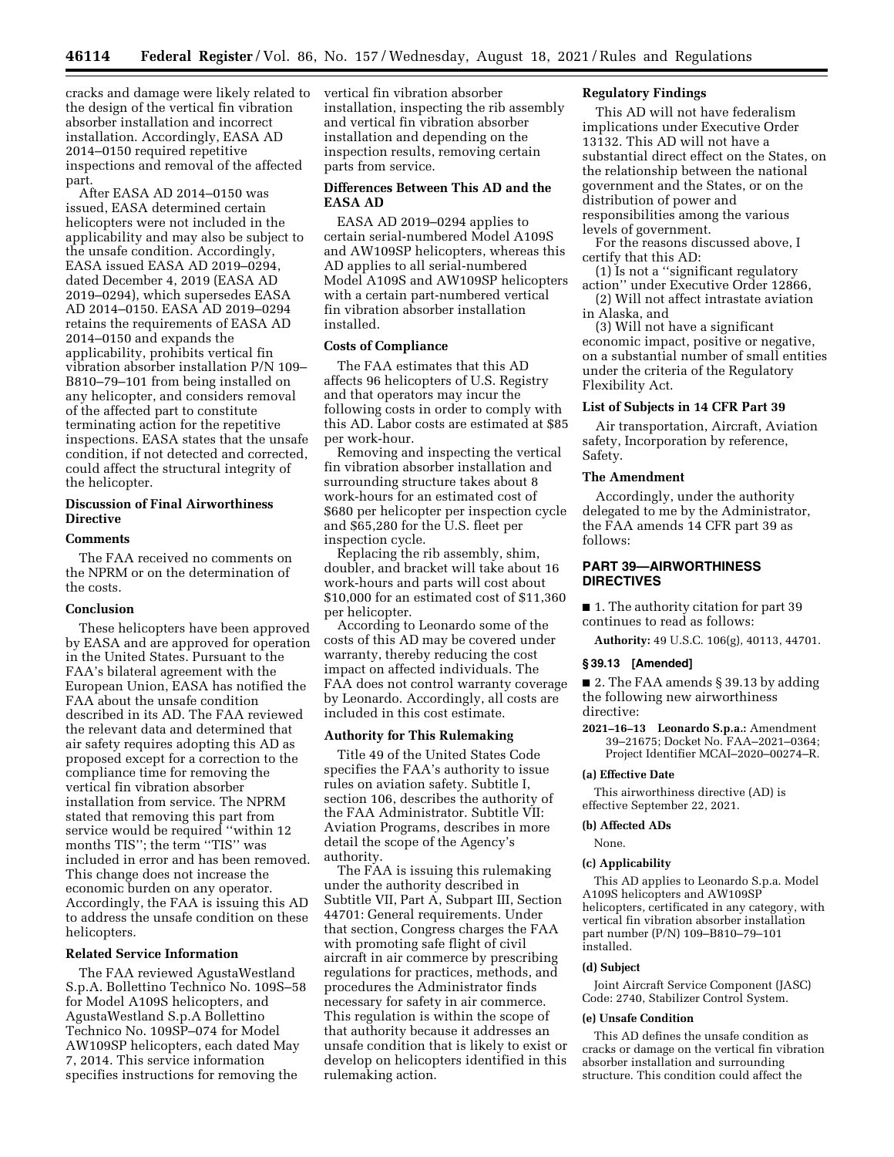cracks and damage were likely related to the design of the vertical fin vibration absorber installation and incorrect installation. Accordingly, EASA AD 2014–0150 required repetitive inspections and removal of the affected part.

After EASA AD 2014–0150 was issued, EASA determined certain helicopters were not included in the applicability and may also be subject to the unsafe condition. Accordingly, EASA issued EASA AD 2019–0294, dated December 4, 2019 (EASA AD 2019–0294), which supersedes EASA AD 2014–0150. EASA AD 2019–0294 retains the requirements of EASA AD 2014–0150 and expands the applicability, prohibits vertical fin vibration absorber installation P/N 109– B810–79–101 from being installed on any helicopter, and considers removal of the affected part to constitute terminating action for the repetitive inspections. EASA states that the unsafe condition, if not detected and corrected, could affect the structural integrity of the helicopter.

# **Discussion of Final Airworthiness Directive**

### **Comments**

The FAA received no comments on the NPRM or on the determination of the costs.

### **Conclusion**

These helicopters have been approved by EASA and are approved for operation in the United States. Pursuant to the FAA's bilateral agreement with the European Union, EASA has notified the FAA about the unsafe condition described in its AD. The FAA reviewed the relevant data and determined that air safety requires adopting this AD as proposed except for a correction to the compliance time for removing the vertical fin vibration absorber installation from service. The NPRM stated that removing this part from service would be required ''within 12 months TIS''; the term ''TIS'' was included in error and has been removed. This change does not increase the economic burden on any operator. Accordingly, the FAA is issuing this AD to address the unsafe condition on these helicopters.

### **Related Service Information**

The FAA reviewed AgustaWestland S.p.A. Bollettino Technico No. 109S–58 for Model A109S helicopters, and AgustaWestland S.p.A Bollettino Technico No. 109SP–074 for Model AW109SP helicopters, each dated May 7, 2014. This service information specifies instructions for removing the

vertical fin vibration absorber installation, inspecting the rib assembly and vertical fin vibration absorber installation and depending on the inspection results, removing certain parts from service.

### **Differences Between This AD and the EASA AD**

EASA AD 2019–0294 applies to certain serial-numbered Model A109S and AW109SP helicopters, whereas this AD applies to all serial-numbered Model A109S and AW109SP helicopters with a certain part-numbered vertical fin vibration absorber installation installed.

### **Costs of Compliance**

The FAA estimates that this AD affects 96 helicopters of U.S. Registry and that operators may incur the following costs in order to comply with this AD. Labor costs are estimated at \$85 per work-hour.

Removing and inspecting the vertical fin vibration absorber installation and surrounding structure takes about 8 work-hours for an estimated cost of \$680 per helicopter per inspection cycle and \$65,280 for the U.S. fleet per inspection cycle.

Replacing the rib assembly, shim, doubler, and bracket will take about 16 work-hours and parts will cost about \$10,000 for an estimated cost of \$11,360 per helicopter.

According to Leonardo some of the costs of this AD may be covered under warranty, thereby reducing the cost impact on affected individuals. The FAA does not control warranty coverage by Leonardo. Accordingly, all costs are included in this cost estimate.

#### **Authority for This Rulemaking**

Title 49 of the United States Code specifies the FAA's authority to issue rules on aviation safety. Subtitle I, section 106, describes the authority of the FAA Administrator. Subtitle VII: Aviation Programs, describes in more detail the scope of the Agency's authority.

The FAA is issuing this rulemaking under the authority described in Subtitle VII, Part A, Subpart III, Section 44701: General requirements. Under that section, Congress charges the FAA with promoting safe flight of civil aircraft in air commerce by prescribing regulations for practices, methods, and procedures the Administrator finds necessary for safety in air commerce. This regulation is within the scope of that authority because it addresses an unsafe condition that is likely to exist or develop on helicopters identified in this rulemaking action.

# **Regulatory Findings**

This AD will not have federalism implications under Executive Order 13132. This AD will not have a substantial direct effect on the States, on the relationship between the national government and the States, or on the distribution of power and responsibilities among the various levels of government.

For the reasons discussed above, I certify that this AD:

- (1) Is not a ''significant regulatory action'' under Executive Order 12866,
- (2) Will not affect intrastate aviation in Alaska, and

(3) Will not have a significant economic impact, positive or negative, on a substantial number of small entities under the criteria of the Regulatory Flexibility Act.

### **List of Subjects in 14 CFR Part 39**

Air transportation, Aircraft, Aviation safety, Incorporation by reference, Safety.

### **The Amendment**

Accordingly, under the authority delegated to me by the Administrator, the FAA amends 14 CFR part 39 as follows:

# **PART 39—AIRWORTHINESS DIRECTIVES**

■ 1. The authority citation for part 39 continues to read as follows:

**Authority:** 49 U.S.C. 106(g), 40113, 44701.

#### **§ 39.13 [Amended]**

■ 2. The FAA amends § 39.13 by adding the following new airworthiness directive:

**2021–16–13 Leonardo S.p.a.:** Amendment 39–21675; Docket No. FAA–2021–0364; Project Identifier MCAI–2020–00274–R.

#### **(a) Effective Date**

This airworthiness directive (AD) is effective September 22, 2021.

### **(b) Affected ADs**

# None.

#### **(c) Applicability**

This AD applies to Leonardo S.p.a. Model A109S helicopters and AW109SP helicopters, certificated in any category, with vertical fin vibration absorber installation part number (P/N) 109–B810–79–101 installed.

#### **(d) Subject**

Joint Aircraft Service Component (JASC) Code: 2740, Stabilizer Control System.

### **(e) Unsafe Condition**

This AD defines the unsafe condition as cracks or damage on the vertical fin vibration absorber installation and surrounding structure. This condition could affect the